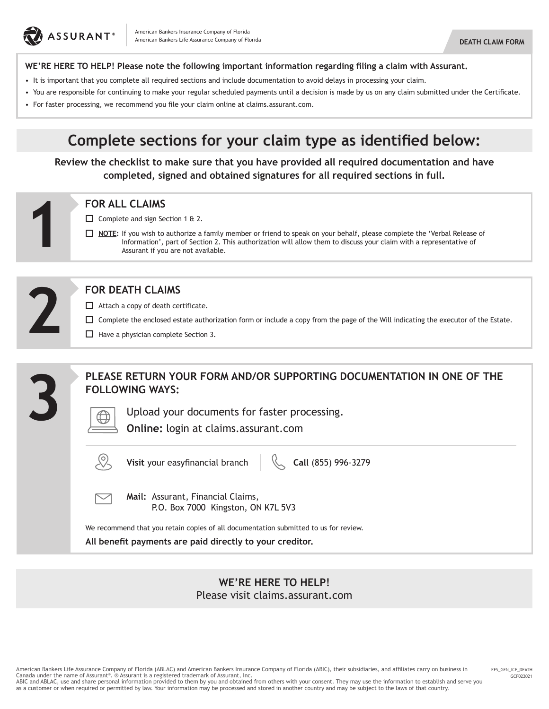

#### **WE'RE HERE TO HELP! Please note the following important information regarding filing a claim with Assurant.**

- It is important that you complete all required sections and include documentation to avoid delays in processing your claim.
- You are responsible for continuing to make your regular scheduled payments until a decision is made by us on any claim submitted under the Certificate.
- For faster processing, we recommend you file your claim online at claims.assurant.com.

# **Complete sections for your claim type as identified below:**

**Review the checklist to make sure that you have provided all required documentation and have completed, signed and obtained signatures for all required sections in full.**

Complete and sign Section 1 & 2.

 **NOTE:** If you wish to authorize a family member or friend to speak on your behalf, please complete the 'Verbal Release of Information', part of Section 2. This authorization will allow them to discuss your claim with a representative of Assurant if you are not available. **FOR ALL CLAIMS**<br>  $\Box$  Complete and sign Se<br>  $\Box$  <u>NOTE</u>: If you wish to<br>
Information',<br>
Assurant if you



#### **FOR DEATH CLAIMS**

- □ Attach a copy of death certificate.
- Complete the enclosed estate authorization form or include a copy from the page of the Will indicating the executor of the Estate.
- $\Box$  Have a physician complete Section 3.

|                         | PLEASE RETURN YOUR FORM AND/OR SUPPORTING DOCUMENTATION IN ONE OF THE<br><b>FOLLOWING WAYS:</b>                                                  |
|-------------------------|--------------------------------------------------------------------------------------------------------------------------------------------------|
| $\overline{\mathbf{S}}$ | Upload your documents for faster processing.<br>Online: login at claims.assurant.com                                                             |
|                         | Visit your easyfinancial branch<br>$\%$ Call (855) 996-3279                                                                                      |
|                         | Mail: Assurant, Financial Claims,<br>P.O. Box 7000 Kingston, ON K7L 5V3                                                                          |
|                         | We recommend that you retain copies of all documentation submitted to us for review.<br>All benefit payments are paid directly to your creditor. |

#### **WE'RE HERE TO HELP!** Please visit claims.assurant.com

American Bankers Life Assurance Company of Florida (ABLAC) and American Bankers Insurance Company of Florida (ABIC), their subsidiaries, and affiliates carry on business in Canada under the name of Assurant®. ® Assurant is a registered trademark of Assurant, Inc.

ABIC and ABLAC, use and share personal information provided to them by you and obtained from others with your consent. They may use the information to establish and serve you<br>as a customer or when required or permitted by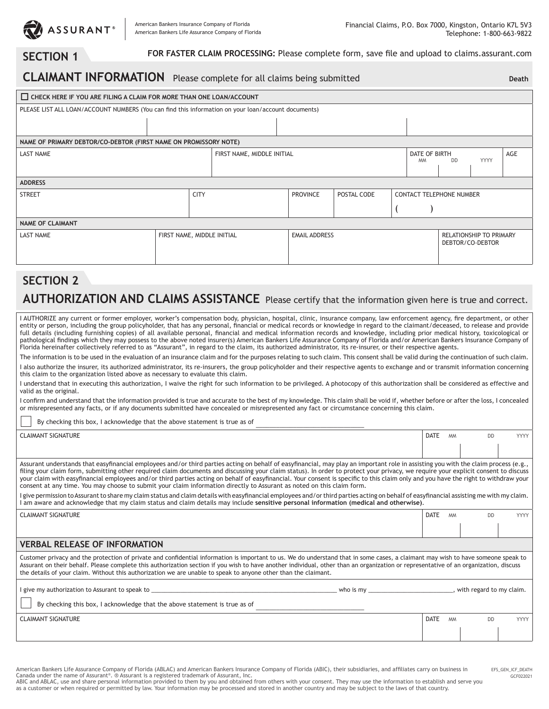

**SECTION 1** FOR FASTER CLAIM PROCESSING: Please complete form, save file and upload to claims.assurant.com

# **CLAIMANT INFORMATION** Please complete for all claims being submitted

**Death**

| CHECK HERE IF YOU ARE FILING A CLAIM FOR MORE THAN ONE LOAN/ACCOUNT                                 |  |  |                            |  |                      |             |  |               |                                 |                                |     |
|-----------------------------------------------------------------------------------------------------|--|--|----------------------------|--|----------------------|-------------|--|---------------|---------------------------------|--------------------------------|-----|
|                                                                                                     |  |  |                            |  |                      |             |  |               |                                 |                                |     |
| PLEASE LIST ALL LOAN/ACCOUNT NUMBERS (You can find this information on your loan/account documents) |  |  |                            |  |                      |             |  |               |                                 |                                |     |
|                                                                                                     |  |  |                            |  |                      |             |  |               |                                 |                                |     |
|                                                                                                     |  |  |                            |  |                      |             |  |               |                                 |                                |     |
| NAME OF PRIMARY DEBTOR/CO-DEBTOR (FIRST NAME ON PROMISSORY NOTE)                                    |  |  |                            |  |                      |             |  |               |                                 |                                |     |
| <b>LAST NAME</b>                                                                                    |  |  | FIRST NAME, MIDDLE INITIAL |  |                      |             |  | DATE OF BIRTH |                                 |                                | AGE |
|                                                                                                     |  |  |                            |  |                      |             |  | <b>MM</b>     | <b>DD</b>                       | <b>YYYY</b>                    |     |
|                                                                                                     |  |  |                            |  |                      |             |  |               |                                 |                                |     |
| <b>ADDRESS</b>                                                                                      |  |  |                            |  |                      |             |  |               |                                 |                                |     |
| <b>CITY</b><br><b>STREET</b>                                                                        |  |  |                            |  | <b>PROVINCE</b>      | POSTAL CODE |  |               | <b>CONTACT TELEPHONE NUMBER</b> |                                |     |
|                                                                                                     |  |  |                            |  |                      |             |  |               |                                 |                                |     |
|                                                                                                     |  |  |                            |  |                      |             |  |               |                                 |                                |     |
| <b>NAME OF CLAIMANT</b>                                                                             |  |  |                            |  |                      |             |  |               |                                 |                                |     |
| FIRST NAME, MIDDLE INITIAL<br><b>LAST NAME</b>                                                      |  |  |                            |  | <b>EMAIL ADDRESS</b> |             |  |               |                                 | <b>RELATIONSHIP TO PRIMARY</b> |     |
|                                                                                                     |  |  |                            |  |                      |             |  |               | DEBTOR/CO-DEBTOR                |                                |     |
|                                                                                                     |  |  |                            |  |                      |             |  |               |                                 |                                |     |
|                                                                                                     |  |  |                            |  |                      |             |  |               |                                 |                                |     |

### **SECTION 2**

### **AUTHORIZATION AND CLAIMS ASSISTANCE** Please certify that the information given here is true and correct.

I AUTHORIZE any current or former employer, worker's compensation body, physician, hospital, clinic, insurance company, law enforcement agency, fire department, or other entity or person, including the group policyholder, that has any personal, financial or medical records or knowledge in regard to the claimant/deceased, to release and provide full details (including furnishing copies) of all available personal, financial and medical information records and knowledge, including prior medical history, toxicological or pathological findings which they may possess to the above noted insurer(s) American Bankers Life Assurance Company of Florida and/or American Bankers Insurance Company of Florida hereinafter collectively referred to as "Assurant", in regard to the claim, its authorized administrator, its re-insurer, or their respective agents.

The information is to be used in the evaluation of an insurance claim and for the purposes relating to such claim. This consent shall be valid during the continuation of such claim.

I also authorize the insurer, its authorized administrator, its re-insurers, the group policyholder and their respective agents to exchange and or transmit information concerning this claim to the organization listed above as necessary to evaluate this claim.

I understand that in executing this authorization, I waive the right for such information to be privileged. A photocopy of this authorization shall be considered as effective and valid as the original.

I confirm and understand that the information provided is true and accurate to the best of my knowledge. This claim shall be void if, whether before or after the loss, I concealed or misrepresented any facts, or if any documents submitted have concealed or misrepresented any fact or circumstance concerning this claim.

By checking this box, I acknowledge that the above statement is true as of

CLAIMANT SIGNATURE DATE MM DD YYYY Assurant understands that easyfinancial employees and/or third parties acting on behalf of easyfinancial, may play an important role in assisting you with the claim process (e.g., filing your claim form, submitting other required claim documents and discussing your claim status). In order to protect your privacy, we require your explicit consent to discuss your claim with easyfinancial employees and/or third parties acting on behalf of easyfinancial. Your consent is specific to this claim only and you have the right to withdraw your consent at any time. You may choose to submit your claim information directly to Assurant as noted on this claim form. I give permission to Assurant to share my claim status and claim details with easyfinancial employees and/or third parties acting on behalf of easyfinancial assisting me with my claim. I am aware and acknowledge that my claim status and claim details may include **sensitive personal information (medical and otherwise)**. CLAIMANT SIGNATURE DATE MM DD YYYY **VERBAL RELEASE OF INFORMATION** Customer privacy and the protection of private and confidential information is important to us. We do understand that in some cases, a claimant may wish to have someone speak to Assurant on their behalf. Please complete this authorization section if you wish to have another individual, other than an organization or representative of an organization, discuss the details of your claim. Without this authorization we are unable to speak to anyone other than the claimant.

| I give my authorization to Assurant to speak to<br>who is my               |                          | , with regard to my claim. |        |
|----------------------------------------------------------------------------|--------------------------|----------------------------|--------|
| By checking this box, I acknowledge that the above statement is true as of |                          |                            |        |
| <b>CLAIMANT SIGNATURE</b>                                                  | <b>DATE</b><br><b>MM</b> | DD                         | YYYY I |
|                                                                            |                          |                            |        |

American Bankers Life Assurance Company of Florida (ABLAC) and American Bankers Insurance Company of Florida (ABIC), their subsidiaries, and affiliates carry on business in Canada under the name of Assurant®. ® Assurant is a registered trademark of Assurant, Inc.

ABIC and ABLAC, use and share personal information provided to them by you and obtained from others with your consent. They may use the information to establish and serve you as a customer or when required or permitted by law. Your information may be processed and stored in another country and may be subject to the laws of that country.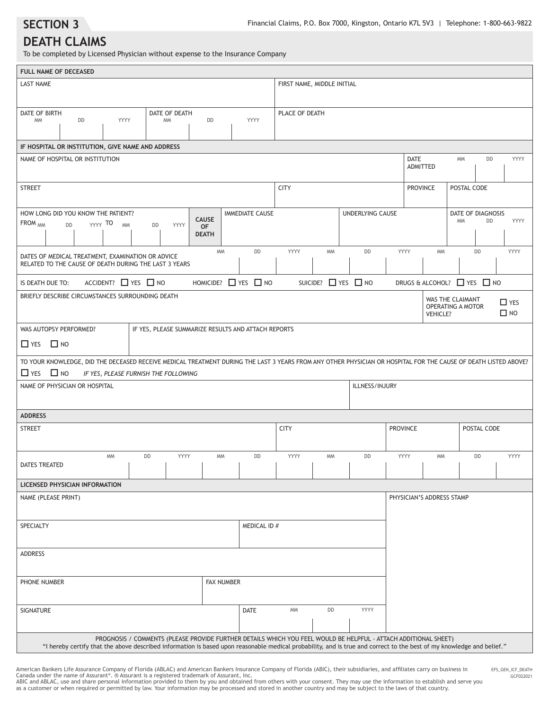**SECTION 3**

#### **DEATH CLAIMS**

To be completed by Licensed Physician without expense to the Insurance Company

| FULL NAME OF DECEASED                                                                                                                                           |                                                                                                                                                                                                                                                                                          |                                           |                                |                            |           |                    |                                |                                                          |                                      |                         |
|-----------------------------------------------------------------------------------------------------------------------------------------------------------------|------------------------------------------------------------------------------------------------------------------------------------------------------------------------------------------------------------------------------------------------------------------------------------------|-------------------------------------------|--------------------------------|----------------------------|-----------|--------------------|--------------------------------|----------------------------------------------------------|--------------------------------------|-------------------------|
| <b>LAST NAME</b>                                                                                                                                                |                                                                                                                                                                                                                                                                                          |                                           |                                | FIRST NAME, MIDDLE INITIAL |           |                    |                                |                                                          |                                      |                         |
| DATE OF BIRTH<br>DD<br>YYYY<br><b>MM</b>                                                                                                                        | DATE OF DEATH<br><b>MM</b>                                                                                                                                                                                                                                                               | DD                                        | YYYY                           | PLACE OF DEATH             |           |                    |                                |                                                          |                                      |                         |
| IF HOSPITAL OR INSTITUTION, GIVE NAME AND ADDRESS                                                                                                               |                                                                                                                                                                                                                                                                                          |                                           |                                |                            |           |                    |                                |                                                          |                                      |                         |
| NAME OF HOSPITAL OR INSTITUTION                                                                                                                                 |                                                                                                                                                                                                                                                                                          |                                           |                                |                            |           |                    | <b>DATE</b><br><b>ADMITTED</b> |                                                          | <b>MM</b><br>DD                      | YYYY                    |
| <b>STREET</b>                                                                                                                                                   |                                                                                                                                                                                                                                                                                          |                                           |                                | <b>CITY</b>                |           |                    | <b>PROVINCE</b>                |                                                          | POSTAL CODE                          |                         |
| HOW LONG DID YOU KNOW THE PATIENT?<br>FROM <sub>MM</sub><br>YYYY TO<br><b>MM</b><br><b>DD</b>                                                                   | YYYY<br>DD                                                                                                                                                                                                                                                                               | <b>CAUSE</b><br><b>OF</b><br><b>DEATH</b> | <b>IMMEDIATE CAUSE</b>         |                            |           | UNDERLYING CAUSE   |                                |                                                          | DATE OF DIAGNOSIS<br><b>MM</b><br>DD | YYYY                    |
| DATES OF MEDICAL TREATMENT, EXAMINATION OR ADVICE<br>RELATED TO THE CAUSE OF DEATH DURING THE LAST 3 YEARS                                                      |                                                                                                                                                                                                                                                                                          | <b>MM</b>                                 | DD                             | YYYY                       | <b>MM</b> | DD                 | YYYY                           | <b>MM</b>                                                | DD                                   | YYYY                    |
| ACCIDENT? $\Box$ YES $\Box$ NO<br>IS DEATH DUE TO:                                                                                                              |                                                                                                                                                                                                                                                                                          | HOMICIDE? $\Box$ YES $\Box$ NO            |                                |                            |           | SUICIDE? THES THO  |                                |                                                          | DRUGS & ALCOHOL? THES TIMO           |                         |
| BRIEFLY DESCRIBE CIRCUMSTANCES SURROUNDING DEATH                                                                                                                |                                                                                                                                                                                                                                                                                          |                                           |                                |                            |           |                    |                                | WAS THE CLAIMANT<br>OPERATING A MOTOR<br><b>VEHICLE?</b> |                                      | $\Box$ YES<br>$\Box$ NO |
| WAS AUTOPSY PERFORMED?<br>$\Box$ YES $\Box$ NO                                                                                                                  | IF YES, PLEASE SUMMARIZE RESULTS AND ATTACH REPORTS                                                                                                                                                                                                                                      |                                           |                                |                            |           |                    |                                |                                                          |                                      |                         |
| TO YOUR KNOWLEDGE, DID THE DECEASED RECEIVE MEDICAL TREATMENT DURING THE LAST 3 YEARS FROM ANY OTHER PHYSICIAN OR HOSPITAL FOR THE CAUSE OF DEATH LISTED ABOVE? |                                                                                                                                                                                                                                                                                          |                                           |                                |                            |           |                    |                                |                                                          |                                      |                         |
| $\Box$ NO<br>$\Box$ YES<br>NAME OF PHYSICIAN OR HOSPITAL                                                                                                        | IF YES, PLEASE FURNISH THE FOLLOWING                                                                                                                                                                                                                                                     |                                           |                                |                            |           | ILLNESS/INJURY     |                                |                                                          |                                      |                         |
| <b>ADDRESS</b>                                                                                                                                                  |                                                                                                                                                                                                                                                                                          |                                           |                                |                            |           |                    |                                |                                                          |                                      |                         |
| <b>STREET</b>                                                                                                                                                   |                                                                                                                                                                                                                                                                                          |                                           |                                | <b>CITY</b>                |           |                    | <b>PROVINCE</b>                |                                                          | POSTAL CODE                          |                         |
| <b>MM</b><br><b>DATES TREATED</b>                                                                                                                               | YYYY<br>DD<br>$\Box$                                                                                                                                                                                                                                                                     | <b>MM</b><br><b>Contract Contract</b>     | DD<br><b>Contract Contract</b> | YYYY<br>$\mathbf{I}$       | <b>MM</b> | DD<br>$\mathbf{I}$ | YYYY<br>$\sim$ 1.              | <b>MM</b>                                                | DD                                   | YYYY                    |
| LICENSED PHYSICIAN INFORMATION                                                                                                                                  |                                                                                                                                                                                                                                                                                          |                                           |                                |                            |           |                    |                                |                                                          |                                      |                         |
| NAME (PLEASE PRINT)                                                                                                                                             |                                                                                                                                                                                                                                                                                          |                                           |                                |                            |           |                    |                                | PHYSICIAN'S ADDRESS STAMP                                |                                      |                         |
| SPECIALTY                                                                                                                                                       |                                                                                                                                                                                                                                                                                          |                                           | MEDICAL ID #                   |                            |           |                    |                                |                                                          |                                      |                         |
| <b>ADDRESS</b>                                                                                                                                                  |                                                                                                                                                                                                                                                                                          |                                           |                                |                            |           |                    |                                |                                                          |                                      |                         |
| PHONE NUMBER                                                                                                                                                    |                                                                                                                                                                                                                                                                                          | <b>FAX NUMBER</b>                         |                                |                            |           |                    |                                |                                                          |                                      |                         |
| SIGNATURE                                                                                                                                                       |                                                                                                                                                                                                                                                                                          |                                           | <b>DATE</b>                    | <b>MM</b>                  | DD        | YYYY               |                                |                                                          |                                      |                         |
|                                                                                                                                                                 | PROGNOSIS / COMMENTS (PLEASE PROVIDE FURTHER DETAILS WHICH YOU FEEL WOULD BE HELPFUL - ATTACH ADDITIONAL SHEET)<br>"I hereby certify that the above described information is based upon reasonable medical probability, and is true and correct to the best of my knowledge and belief." |                                           |                                |                            |           |                    |                                |                                                          |                                      |                         |

American Bankers Life Assurance Company of Florida (ABLAC) and American Bankers Insurance Company of Florida (ABIC), their subsidiaries, and affiliates carry on business in<br>Canada under the name of Assurant®. @ Assurant is

GCF022021 EFS\_GEN\_ICF\_DEATH